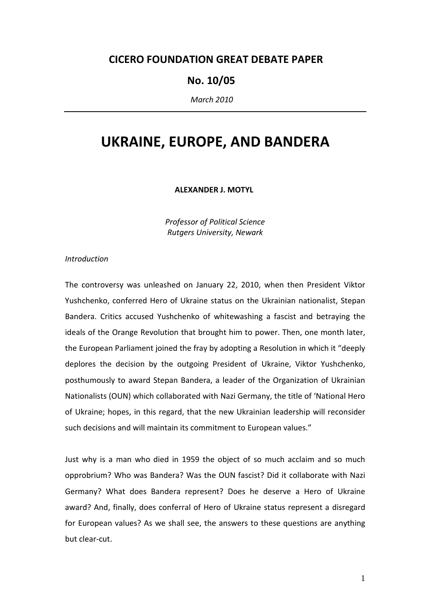# CICERO FOUNDATION GREAT DEBATE PAPER

# No. 10/05

March 2010

# UKRAINE, EUROPE, AND BANDERA

ALEXANDER J. MOTYL

Professor of Political Science Rutgers University, Newark

# Introduction

The controversy was unleashed on January 22, 2010, when then President Viktor Yushchenko, conferred Hero of Ukraine status on the Ukrainian nationalist, Stepan Bandera. Critics accused Yushchenko of whitewashing a fascist and betraying the ideals of the Orange Revolution that brought him to power. Then, one month later, the European Parliament joined the fray by adopting a Resolution in which it "deeply deplores the decision by the outgoing President of Ukraine, Viktor Yushchenko, posthumously to award Stepan Bandera, a leader of the Organization of Ukrainian Nationalists (OUN) which collaborated with Nazi Germany, the title of 'National Hero of Ukraine; hopes, in this regard, that the new Ukrainian leadership will reconsider such decisions and will maintain its commitment to European values."

Just why is a man who died in 1959 the object of so much acclaim and so much opprobrium? Who was Bandera? Was the OUN fascist? Did it collaborate with Nazi Germany? What does Bandera represent? Does he deserve a Hero of Ukraine award? And, finally, does conferral of Hero of Ukraine status represent a disregard for European values? As we shall see, the answers to these questions are anything but clear-cut.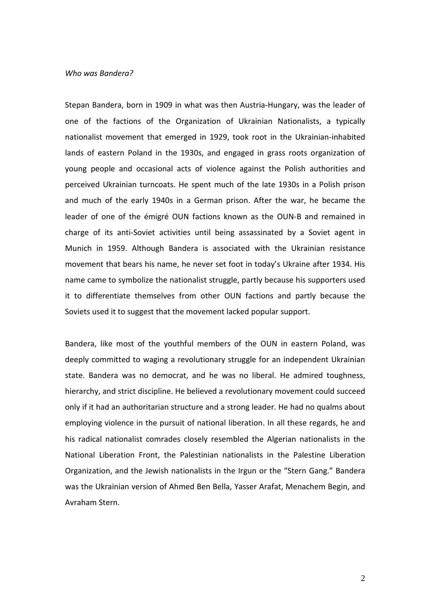## Who was Bandera?

Stepan Bandera, born in 1909 in what was then Austria-Hungary, was the leader of one of the factions of the Organization of Ukrainian Nationalists, a typically nationalist movement that emerged in 1929, took root in the Ukrainian-inhabited lands of eastern Poland in the 1930s, and engaged in grass roots organization of young people and occasional acts of violence against the Polish authorities and perceived Ukrainian turncoats. He spent much of the late 1930s in a Polish prison and much of the early 1940s in a German prison. After the war, he became the leader of one of the émigré OUN factions known as the OUN-B and remained in charge of its anti-Soviet activities until being assassinated by a Soviet agent in Munich in 1959. Although Bandera is associated with the Ukrainian resistance movement that bears his name, he never set foot in today's Ukraine after 1934. His name came to symbolize the nationalist struggle, partly because his supporters used it to differentiate themselves from other OUN factions and partly because the Soviets used it to suggest that the movement lacked popular support.

Bandera, like most of the youthful members of the OUN in eastern Poland, was deeply committed to waging a revolutionary struggle for an independent Ukrainian state. Bandera was no democrat, and he was no liberal. He admired toughness, hierarchy, and strict discipline. He believed a revolutionary movement could succeed only if it had an authoritarian structure and a strong leader. He had no qualms about employing violence in the pursuit of national liberation. In all these regards, he and his radical nationalist comrades closely resembled the Algerian nationalists in the National Liberation Front, the Palestinian nationalists in the Palestine Liberation Organization, and the Jewish nationalists in the Irgun or the "Stern Gang." Bandera was the Ukrainian version of Ahmed Ben Bella, Yasser Arafat, Menachem Begin, and Avraham Stern.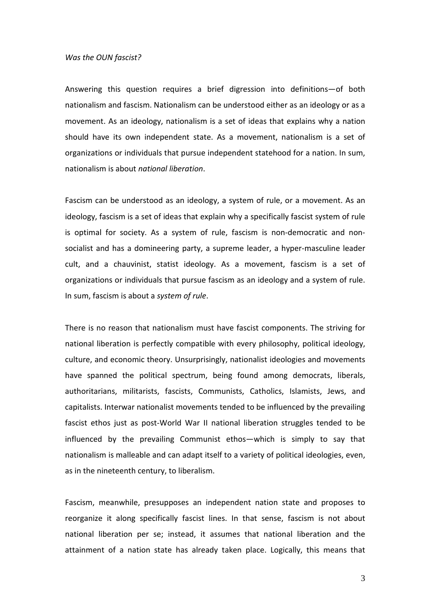#### Was the OUN fascist?

Answering this question requires a brief digression into definitions—of both nationalism and fascism. Nationalism can be understood either as an ideology or as a movement. As an ideology, nationalism is a set of ideas that explains why a nation should have its own independent state. As a movement, nationalism is a set of organizations or individuals that pursue independent statehood for a nation. In sum, nationalism is about national liberation.

Fascism can be understood as an ideology, a system of rule, or a movement. As an ideology, fascism is a set of ideas that explain why a specifically fascist system of rule is optimal for society. As a system of rule, fascism is non-democratic and nonsocialist and has a domineering party, a supreme leader, a hyper-masculine leader cult, and a chauvinist, statist ideology. As a movement, fascism is a set of organizations or individuals that pursue fascism as an ideology and a system of rule. In sum, fascism is about a system of rule.

There is no reason that nationalism must have fascist components. The striving for national liberation is perfectly compatible with every philosophy, political ideology, culture, and economic theory. Unsurprisingly, nationalist ideologies and movements have spanned the political spectrum, being found among democrats, liberals, authoritarians, militarists, fascists, Communists, Catholics, Islamists, Jews, and capitalists. Interwar nationalist movements tended to be influenced by the prevailing fascist ethos just as post-World War II national liberation struggles tended to be influenced by the prevailing Communist ethos—which is simply to say that nationalism is malleable and can adapt itself to a variety of political ideologies, even, as in the nineteenth century, to liberalism.

Fascism, meanwhile, presupposes an independent nation state and proposes to reorganize it along specifically fascist lines. In that sense, fascism is not about national liberation per se; instead, it assumes that national liberation and the attainment of a nation state has already taken place. Logically, this means that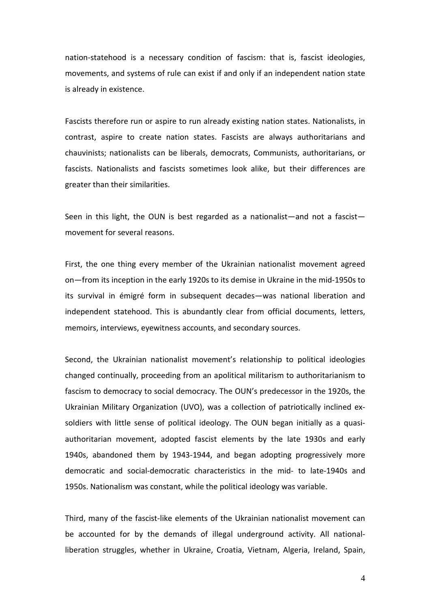nation-statehood is a necessary condition of fascism: that is, fascist ideologies, movements, and systems of rule can exist if and only if an independent nation state is already in existence.

Fascists therefore run or aspire to run already existing nation states. Nationalists, in contrast, aspire to create nation states. Fascists are always authoritarians and chauvinists; nationalists can be liberals, democrats, Communists, authoritarians, or fascists. Nationalists and fascists sometimes look alike, but their differences are greater than their similarities.

Seen in this light, the OUN is best regarded as a nationalist—and not a fascist movement for several reasons.

First, the one thing every member of the Ukrainian nationalist movement agreed on—from its inception in the early 1920s to its demise in Ukraine in the mid-1950s to its survival in émigré form in subsequent decades—was national liberation and independent statehood. This is abundantly clear from official documents, letters, memoirs, interviews, eyewitness accounts, and secondary sources.

Second, the Ukrainian nationalist movement's relationship to political ideologies changed continually, proceeding from an apolitical militarism to authoritarianism to fascism to democracy to social democracy. The OUN's predecessor in the 1920s, the Ukrainian Military Organization (UVO), was a collection of patriotically inclined exsoldiers with little sense of political ideology. The OUN began initially as a quasiauthoritarian movement, adopted fascist elements by the late 1930s and early 1940s, abandoned them by 1943-1944, and began adopting progressively more democratic and social-democratic characteristics in the mid- to late-1940s and 1950s. Nationalism was constant, while the political ideology was variable.

Third, many of the fascist-like elements of the Ukrainian nationalist movement can be accounted for by the demands of illegal underground activity. All nationalliberation struggles, whether in Ukraine, Croatia, Vietnam, Algeria, Ireland, Spain,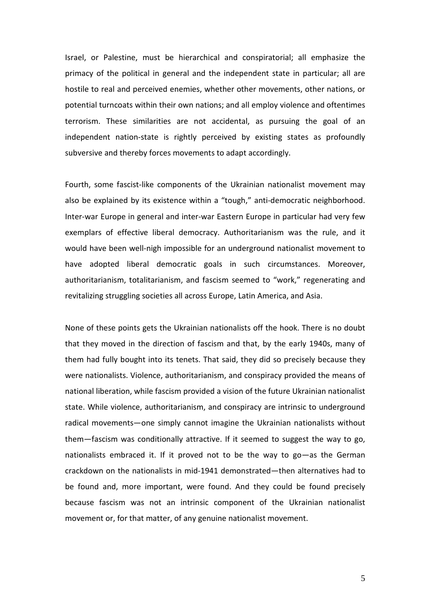Israel, or Palestine, must be hierarchical and conspiratorial; all emphasize the primacy of the political in general and the independent state in particular; all are hostile to real and perceived enemies, whether other movements, other nations, or potential turncoats within their own nations; and all employ violence and oftentimes terrorism. These similarities are not accidental, as pursuing the goal of an independent nation-state is rightly perceived by existing states as profoundly subversive and thereby forces movements to adapt accordingly.

Fourth, some fascist-like components of the Ukrainian nationalist movement may also be explained by its existence within a "tough," anti-democratic neighborhood. Inter-war Europe in general and inter-war Eastern Europe in particular had very few exemplars of effective liberal democracy. Authoritarianism was the rule, and it would have been well-nigh impossible for an underground nationalist movement to have adopted liberal democratic goals in such circumstances. Moreover, authoritarianism, totalitarianism, and fascism seemed to "work," regenerating and revitalizing struggling societies all across Europe, Latin America, and Asia.

None of these points gets the Ukrainian nationalists off the hook. There is no doubt that they moved in the direction of fascism and that, by the early 1940s, many of them had fully bought into its tenets. That said, they did so precisely because they were nationalists. Violence, authoritarianism, and conspiracy provided the means of national liberation, while fascism provided a vision of the future Ukrainian nationalist state. While violence, authoritarianism, and conspiracy are intrinsic to underground radical movements—one simply cannot imagine the Ukrainian nationalists without them—fascism was conditionally attractive. If it seemed to suggest the way to go, nationalists embraced it. If it proved not to be the way to go—as the German crackdown on the nationalists in mid-1941 demonstrated—then alternatives had to be found and, more important, were found. And they could be found precisely because fascism was not an intrinsic component of the Ukrainian nationalist movement or, for that matter, of any genuine nationalist movement.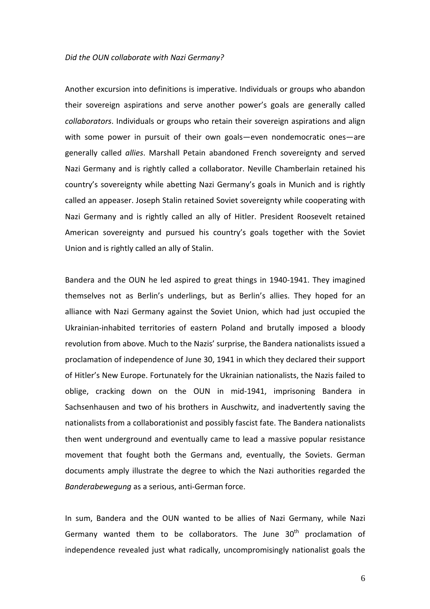## Did the OUN collaborate with Nazi Germany?

Another excursion into definitions is imperative. Individuals or groups who abandon their sovereign aspirations and serve another power's goals are generally called collaborators. Individuals or groups who retain their sovereign aspirations and align with some power in pursuit of their own goals—even nondemocratic ones—are generally called allies. Marshall Petain abandoned French sovereignty and served Nazi Germany and is rightly called a collaborator. Neville Chamberlain retained his country's sovereignty while abetting Nazi Germany's goals in Munich and is rightly called an appeaser. Joseph Stalin retained Soviet sovereignty while cooperating with Nazi Germany and is rightly called an ally of Hitler. President Roosevelt retained American sovereignty and pursued his country's goals together with the Soviet Union and is rightly called an ally of Stalin.

Bandera and the OUN he led aspired to great things in 1940-1941. They imagined themselves not as Berlin's underlings, but as Berlin's allies. They hoped for an alliance with Nazi Germany against the Soviet Union, which had just occupied the Ukrainian-inhabited territories of eastern Poland and brutally imposed a bloody revolution from above. Much to the Nazis' surprise, the Bandera nationalists issued a proclamation of independence of June 30, 1941 in which they declared their support of Hitler's New Europe. Fortunately for the Ukrainian nationalists, the Nazis failed to oblige, cracking down on the OUN in mid-1941, imprisoning Bandera in Sachsenhausen and two of his brothers in Auschwitz, and inadvertently saving the nationalists from a collaborationist and possibly fascist fate. The Bandera nationalists then went underground and eventually came to lead a massive popular resistance movement that fought both the Germans and, eventually, the Soviets. German documents amply illustrate the degree to which the Nazi authorities regarded the Banderabewegung as a serious, anti-German force.

In sum, Bandera and the OUN wanted to be allies of Nazi Germany, while Nazi Germany wanted them to be collaborators. The June 30<sup>th</sup> proclamation of independence revealed just what radically, uncompromisingly nationalist goals the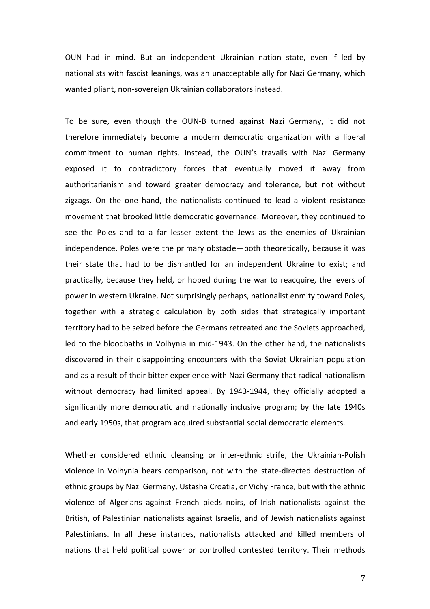OUN had in mind. But an independent Ukrainian nation state, even if led by nationalists with fascist leanings, was an unacceptable ally for Nazi Germany, which wanted pliant, non-sovereign Ukrainian collaborators instead.

To be sure, even though the OUN-B turned against Nazi Germany, it did not therefore immediately become a modern democratic organization with a liberal commitment to human rights. Instead, the OUN's travails with Nazi Germany exposed it to contradictory forces that eventually moved it away from authoritarianism and toward greater democracy and tolerance, but not without zigzags. On the one hand, the nationalists continued to lead a violent resistance movement that brooked little democratic governance. Moreover, they continued to see the Poles and to a far lesser extent the Jews as the enemies of Ukrainian independence. Poles were the primary obstacle—both theoretically, because it was their state that had to be dismantled for an independent Ukraine to exist; and practically, because they held, or hoped during the war to reacquire, the levers of power in western Ukraine. Not surprisingly perhaps, nationalist enmity toward Poles, together with a strategic calculation by both sides that strategically important territory had to be seized before the Germans retreated and the Soviets approached, led to the bloodbaths in Volhynia in mid-1943. On the other hand, the nationalists discovered in their disappointing encounters with the Soviet Ukrainian population and as a result of their bitter experience with Nazi Germany that radical nationalism without democracy had limited appeal. By 1943-1944, they officially adopted a significantly more democratic and nationally inclusive program; by the late 1940s and early 1950s, that program acquired substantial social democratic elements.

Whether considered ethnic cleansing or inter-ethnic strife, the Ukrainian-Polish violence in Volhynia bears comparison, not with the state-directed destruction of ethnic groups by Nazi Germany, Ustasha Croatia, or Vichy France, but with the ethnic violence of Algerians against French pieds noirs, of Irish nationalists against the British, of Palestinian nationalists against Israelis, and of Jewish nationalists against Palestinians. In all these instances, nationalists attacked and killed members of nations that held political power or controlled contested territory. Their methods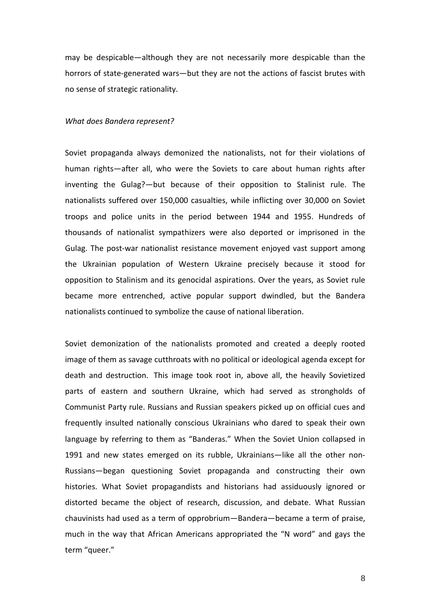may be despicable—although they are not necessarily more despicable than the horrors of state-generated wars—but they are not the actions of fascist brutes with no sense of strategic rationality.

#### What does Bandera represent?

Soviet propaganda always demonized the nationalists, not for their violations of human rights—after all, who were the Soviets to care about human rights after inventing the Gulag?—but because of their opposition to Stalinist rule. The nationalists suffered over 150,000 casualties, while inflicting over 30,000 on Soviet troops and police units in the period between 1944 and 1955. Hundreds of thousands of nationalist sympathizers were also deported or imprisoned in the Gulag. The post-war nationalist resistance movement enjoyed vast support among the Ukrainian population of Western Ukraine precisely because it stood for opposition to Stalinism and its genocidal aspirations. Over the years, as Soviet rule became more entrenched, active popular support dwindled, but the Bandera nationalists continued to symbolize the cause of national liberation.

Soviet demonization of the nationalists promoted and created a deeply rooted image of them as savage cutthroats with no political or ideological agenda except for death and destruction. This image took root in, above all, the heavily Sovietized parts of eastern and southern Ukraine, which had served as strongholds of Communist Party rule. Russians and Russian speakers picked up on official cues and frequently insulted nationally conscious Ukrainians who dared to speak their own language by referring to them as "Banderas." When the Soviet Union collapsed in 1991 and new states emerged on its rubble, Ukrainians—like all the other non-Russians—began questioning Soviet propaganda and constructing their own histories. What Soviet propagandists and historians had assiduously ignored or distorted became the object of research, discussion, and debate. What Russian chauvinists had used as a term of opprobrium—Bandera—became a term of praise, much in the way that African Americans appropriated the "N word" and gays the term "queer."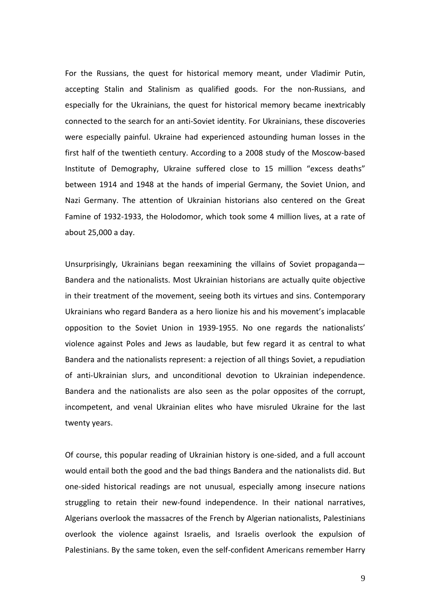For the Russians, the quest for historical memory meant, under Vladimir Putin, accepting Stalin and Stalinism as qualified goods. For the non-Russians, and especially for the Ukrainians, the quest for historical memory became inextricably connected to the search for an anti-Soviet identity. For Ukrainians, these discoveries were especially painful. Ukraine had experienced astounding human losses in the first half of the twentieth century. According to a 2008 study of the Moscow-based Institute of Demography, Ukraine suffered close to 15 million "excess deaths" between 1914 and 1948 at the hands of imperial Germany, the Soviet Union, and Nazi Germany. The attention of Ukrainian historians also centered on the Great Famine of 1932-1933, the Holodomor, which took some 4 million lives, at a rate of about 25,000 a day.

Unsurprisingly, Ukrainians began reexamining the villains of Soviet propaganda— Bandera and the nationalists. Most Ukrainian historians are actually quite objective in their treatment of the movement, seeing both its virtues and sins. Contemporary Ukrainians who regard Bandera as a hero lionize his and his movement's implacable opposition to the Soviet Union in 1939-1955. No one regards the nationalists' violence against Poles and Jews as laudable, but few regard it as central to what Bandera and the nationalists represent: a rejection of all things Soviet, a repudiation of anti-Ukrainian slurs, and unconditional devotion to Ukrainian independence. Bandera and the nationalists are also seen as the polar opposites of the corrupt, incompetent, and venal Ukrainian elites who have misruled Ukraine for the last twenty years.

Of course, this popular reading of Ukrainian history is one-sided, and a full account would entail both the good and the bad things Bandera and the nationalists did. But one-sided historical readings are not unusual, especially among insecure nations struggling to retain their new-found independence. In their national narratives, Algerians overlook the massacres of the French by Algerian nationalists, Palestinians overlook the violence against Israelis, and Israelis overlook the expulsion of Palestinians. By the same token, even the self-confident Americans remember Harry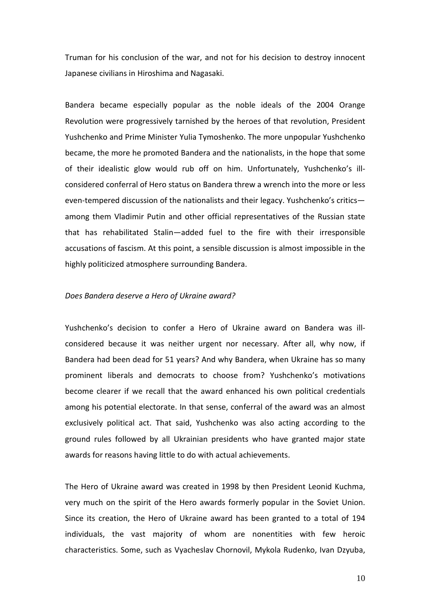Truman for his conclusion of the war, and not for his decision to destroy innocent Japanese civilians in Hiroshima and Nagasaki.

Bandera became especially popular as the noble ideals of the 2004 Orange Revolution were progressively tarnished by the heroes of that revolution, President Yushchenko and Prime Minister Yulia Tymoshenko. The more unpopular Yushchenko became, the more he promoted Bandera and the nationalists, in the hope that some of their idealistic glow would rub off on him. Unfortunately, Yushchenko's illconsidered conferral of Hero status on Bandera threw a wrench into the more or less even-tempered discussion of the nationalists and their legacy. Yushchenko's critics among them Vladimir Putin and other official representatives of the Russian state that has rehabilitated Stalin—added fuel to the fire with their irresponsible accusations of fascism. At this point, a sensible discussion is almost impossible in the highly politicized atmosphere surrounding Bandera.

# Does Bandera deserve a Hero of Ukraine award?

Yushchenko's decision to confer a Hero of Ukraine award on Bandera was illconsidered because it was neither urgent nor necessary. After all, why now, if Bandera had been dead for 51 years? And why Bandera, when Ukraine has so many prominent liberals and democrats to choose from? Yushchenko's motivations become clearer if we recall that the award enhanced his own political credentials among his potential electorate. In that sense, conferral of the award was an almost exclusively political act. That said, Yushchenko was also acting according to the ground rules followed by all Ukrainian presidents who have granted major state awards for reasons having little to do with actual achievements.

The Hero of Ukraine award was created in 1998 by then President Leonid Kuchma, very much on the spirit of the Hero awards formerly popular in the Soviet Union. Since its creation, the Hero of Ukraine award has been granted to a total of 194 individuals, the vast majority of whom are nonentities with few heroic characteristics. Some, such as Vyacheslav Chornovil, Mykola Rudenko, Ivan Dzyuba,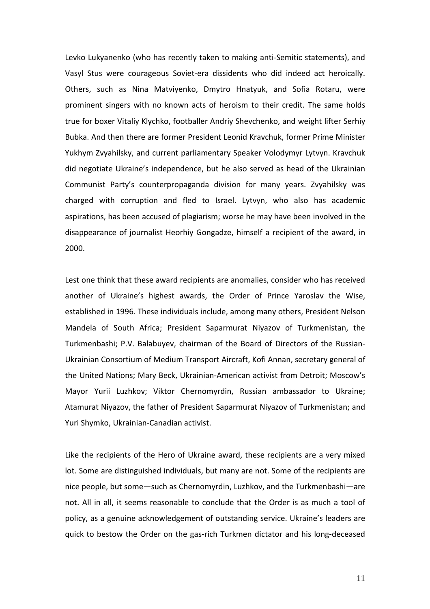Levko Lukyanenko (who has recently taken to making anti-Semitic statements), and Vasyl Stus were courageous Soviet-era dissidents who did indeed act heroically. Others, such as Nina Matviyenko, Dmytro Hnatyuk, and Sofia Rotaru, were prominent singers with no known acts of heroism to their credit. The same holds true for boxer Vitaliy Klychko, footballer Andriy Shevchenko, and weight lifter Serhiy Bubka. And then there are former President Leonid Kravchuk, former Prime Minister Yukhym Zvyahilsky, and current parliamentary Speaker Volodymyr Lytvyn. Kravchuk did negotiate Ukraine's independence, but he also served as head of the Ukrainian Communist Party's counterpropaganda division for many years. Zvyahilsky was charged with corruption and fled to Israel. Lytvyn, who also has academic aspirations, has been accused of plagiarism; worse he may have been involved in the disappearance of journalist Heorhiy Gongadze, himself a recipient of the award, in 2000.

Lest one think that these award recipients are anomalies, consider who has received another of Ukraine's highest awards, the Order of Prince Yaroslav the Wise, established in 1996. These individuals include, among many others, President Nelson Mandela of South Africa; President Saparmurat Niyazov of Turkmenistan, the Turkmenbashi; P.V. Balabuyev, chairman of the Board of Directors of the Russian-Ukrainian Consortium of Medium Transport Aircraft, Kofi Annan, secretary general of the United Nations; Mary Beck, Ukrainian-American activist from Detroit; Moscow's Mayor Yurii Luzhkov; Viktor Chernomyrdin, Russian ambassador to Ukraine; Atamurat Niyazov, the father of President Saparmurat Niyazov of Turkmenistan; and Yuri Shymko, Ukrainian-Canadian activist.

Like the recipients of the Hero of Ukraine award, these recipients are a very mixed lot. Some are distinguished individuals, but many are not. Some of the recipients are nice people, but some—such as Chernomyrdin, Luzhkov, and the Turkmenbashi—are not. All in all, it seems reasonable to conclude that the Order is as much a tool of policy, as a genuine acknowledgement of outstanding service. Ukraine's leaders are quick to bestow the Order on the gas-rich Turkmen dictator and his long-deceased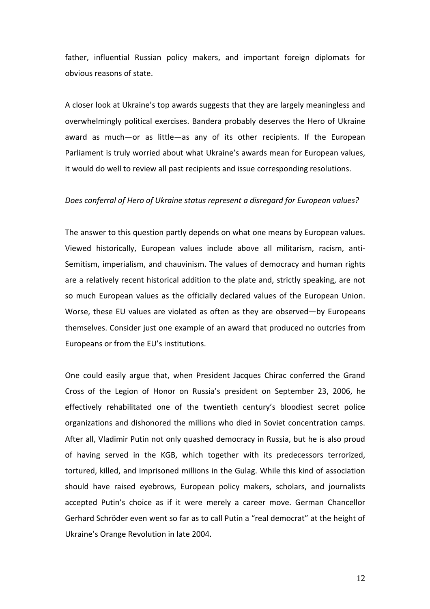father, influential Russian policy makers, and important foreign diplomats for obvious reasons of state.

A closer look at Ukraine's top awards suggests that they are largely meaningless and overwhelmingly political exercises. Bandera probably deserves the Hero of Ukraine award as much—or as little—as any of its other recipients. If the European Parliament is truly worried about what Ukraine's awards mean for European values, it would do well to review all past recipients and issue corresponding resolutions.

#### Does conferral of Hero of Ukraine status represent a disregard for European values?

The answer to this question partly depends on what one means by European values. Viewed historically, European values include above all militarism, racism, anti-Semitism, imperialism, and chauvinism. The values of democracy and human rights are a relatively recent historical addition to the plate and, strictly speaking, are not so much European values as the officially declared values of the European Union. Worse, these EU values are violated as often as they are observed—by Europeans themselves. Consider just one example of an award that produced no outcries from Europeans or from the EU's institutions.

One could easily argue that, when President Jacques Chirac conferred the Grand Cross of the Legion of Honor on Russia's president on September 23, 2006, he effectively rehabilitated one of the twentieth century's bloodiest secret police organizations and dishonored the millions who died in Soviet concentration camps. After all, Vladimir Putin not only quashed democracy in Russia, but he is also proud of having served in the KGB, which together with its predecessors terrorized, tortured, killed, and imprisoned millions in the Gulag. While this kind of association should have raised eyebrows, European policy makers, scholars, and journalists accepted Putin's choice as if it were merely a career move. German Chancellor Gerhard Schröder even went so far as to call Putin a "real democrat" at the height of Ukraine's Orange Revolution in late 2004.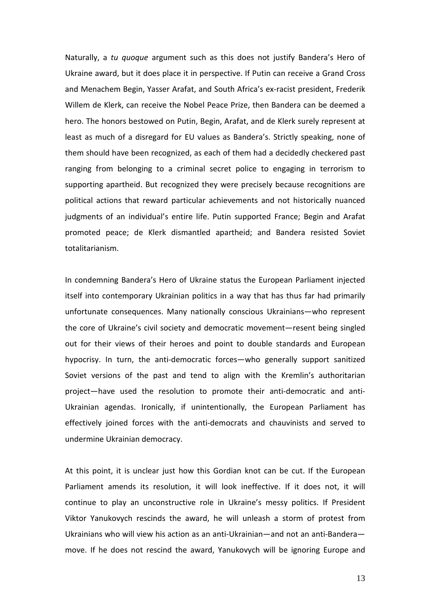Naturally, a tu quoque argument such as this does not justify Bandera's Hero of Ukraine award, but it does place it in perspective. If Putin can receive a Grand Cross and Menachem Begin, Yasser Arafat, and South Africa's ex-racist president, Frederik Willem de Klerk, can receive the Nobel Peace Prize, then Bandera can be deemed a hero. The honors bestowed on Putin, Begin, Arafat, and de Klerk surely represent at least as much of a disregard for EU values as Bandera's. Strictly speaking, none of them should have been recognized, as each of them had a decidedly checkered past ranging from belonging to a criminal secret police to engaging in terrorism to supporting apartheid. But recognized they were precisely because recognitions are political actions that reward particular achievements and not historically nuanced judgments of an individual's entire life. Putin supported France; Begin and Arafat promoted peace; de Klerk dismantled apartheid; and Bandera resisted Soviet totalitarianism.

In condemning Bandera's Hero of Ukraine status the European Parliament injected itself into contemporary Ukrainian politics in a way that has thus far had primarily unfortunate consequences. Many nationally conscious Ukrainians—who represent the core of Ukraine's civil society and democratic movement—resent being singled out for their views of their heroes and point to double standards and European hypocrisy. In turn, the anti-democratic forces—who generally support sanitized Soviet versions of the past and tend to align with the Kremlin's authoritarian project—have used the resolution to promote their anti-democratic and anti-Ukrainian agendas. Ironically, if unintentionally, the European Parliament has effectively joined forces with the anti-democrats and chauvinists and served to undermine Ukrainian democracy.

At this point, it is unclear just how this Gordian knot can be cut. If the European Parliament amends its resolution, it will look ineffective. If it does not, it will continue to play an unconstructive role in Ukraine's messy politics. If President Viktor Yanukovych rescinds the award, he will unleash a storm of protest from Ukrainians who will view his action as an anti-Ukrainian—and not an anti-Bandera move. If he does not rescind the award, Yanukovych will be ignoring Europe and